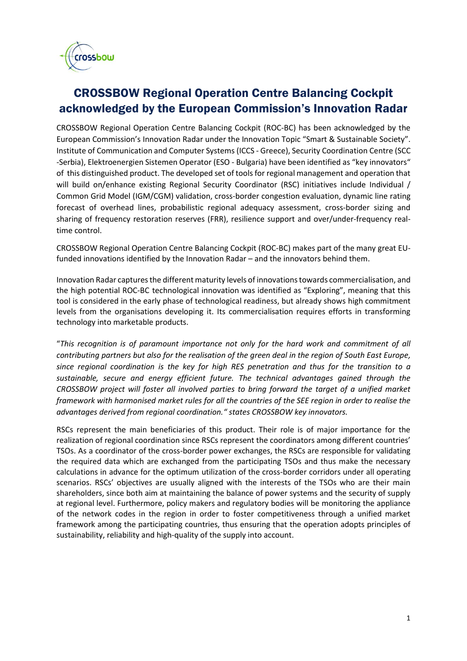

## CROSSBOW Regional Operation Centre Balancing Cockpit acknowledged by the European Commission's Innovation Radar

CROSSBOW Regional Operation Centre Balancing Cockpit (ROC-BC) has been acknowledged by the European Commission's Innovation Radar under the Innovation Topic "Smart & Sustainable Society". Institute of Communication and Computer Systems (ICCS - Greece), Security Coordination Centre (SCC -Serbia), Elektroenergien Sistemen Operator (ESO - Bulgaria) have been identified as "key innovators" of this distinguished product. The developed set of tools for regional management and operation that will build on/enhance existing Regional Security Coordinator (RSC) initiatives include Individual / Common Grid Model (IGM/CGM) validation, cross-border congestion evaluation, dynamic line rating forecast of overhead lines, probabilistic regional adequacy assessment, cross-border sizing and sharing of frequency restoration reserves (FRR), resilience support and over/under-frequency realtime control.

CROSSBOW Regional Operation Centre Balancing Cockpit (ROC-BC) makes part of the many great EUfunded innovations identified by the Innovation Radar – and the innovators behind them.

Innovation Radar captures the different maturity levels of innovations towards commercialisation, and the high potential ROC-BC technological innovation was identified as "Exploring", meaning that this tool is considered in the early phase of technological readiness, but already shows high commitment levels from the organisations developing it. Its commercialisation requires efforts in transforming technology into marketable products.

"*This recognition is of paramount importance not only for the hard work and commitment of all contributing partners but also for the realisation of the green deal in the region of South East Europe, since regional coordination is the key for high RES penetration and thus for the transition to a sustainable, secure and energy efficient future. The technical advantages gained through the CROSSBOW project will foster all involved parties to bring forward the target of a unified market framework with harmonised market rules for all the countries of the SEE region in order to realise the advantages derived from regional coordination." states CROSSBOW key innovators.* 

RSCs represent the main beneficiaries of this product. Their role is of major importance for the realization of regional coordination since RSCs represent the coordinators among different countries' TSOs. As a coordinator of the cross-border power exchanges, the RSCs are responsible for validating the required data which are exchanged from the participating TSOs and thus make the necessary calculations in advance for the optimum utilization of the cross-border corridors under all operating scenarios. RSCs' objectives are usually aligned with the interests of the TSOs who are their main shareholders, since both aim at maintaining the balance of power systems and the security of supply at regional level. Furthermore, policy makers and regulatory bodies will be monitoring the appliance of the network codes in the region in order to foster competitiveness through a unified market framework among the participating countries, thus ensuring that the operation adopts principles of sustainability, reliability and high-quality of the supply into account.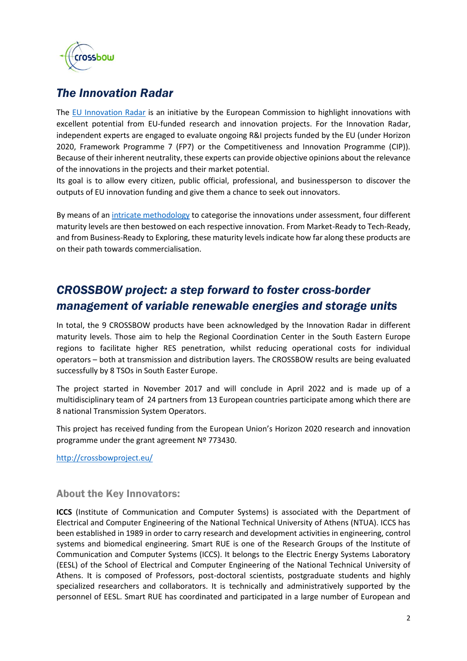

## *The Innovation Radar*

The [EU Innovation Radar](about:blank) is an initiative by the European Commission to highlight innovations with excellent potential from EU-funded research and innovation projects. For the Innovation Radar, independent experts are engaged to evaluate ongoing R&I projects funded by the EU (under Horizon 2020, Framework Programme 7 (FP7) or the Competitiveness and Innovation Programme (CIP)). Because of their inherent neutrality, these experts can provide objective opinions about the relevance of the innovations in the projects and their market potential.

Its goal is to allow every citizen, public official, professional, and businessperson to discover the outputs of EU innovation funding and give them a chance to seek out innovators.

By means of a[n intricate methodology](about:blank) to categorise the innovations under assessment, four different maturity levels are then bestowed on each respective innovation. From Market-Ready to Tech-Ready, and from Business-Ready to Exploring, these maturity levels indicate how far along these products are on their path towards commercialisation.

## *CROSSBOW project: a step forward to foster cross-border management of variable renewable energies and storage units*

In total, the 9 CROSSBOW products have been acknowledged by the Innovation Radar in different maturity levels. Those aim to help the Regional Coordination Center in the South Eastern Europe regions to facilitate higher RES penetration, whilst reducing operational costs for individual operators – both at transmission and distribution layers. The CROSSBOW results are being evaluated successfully by 8 TSOs in South Easter Europe.

The project started in November 2017 and will conclude in April 2022 and is made up of a multidisciplinary team of 24 partners from 13 European countries participate among which there are 8 national Transmission System Operators.

This project has received funding from the European Union's Horizon 2020 research and innovation programme under the grant agreement Nº 773430.

<http://crossbowproject.eu/>

## About the Key Innovators:

**ICCS** (Institute of Communication and Computer Systems) is associated with the Department of Electrical and Computer Engineering of the National Technical University of Athens (NTUA). ICCS has been established in 1989 in order to carry research and development activities in engineering, control systems and biomedical engineering. Smart RUE is one of the Research Groups of the Institute of Communication and Computer Systems (ICCS). It belongs to the Electric Energy Systems Laboratory (EESL) of the School of Electrical and Computer Engineering of the National Technical University of Athens. It is composed of Professors, post-doctoral scientists, postgraduate students and highly specialized researchers and collaborators. It is technically and administratively supported by the personnel of EESL. Smart RUE has coordinated and participated in a large number of European and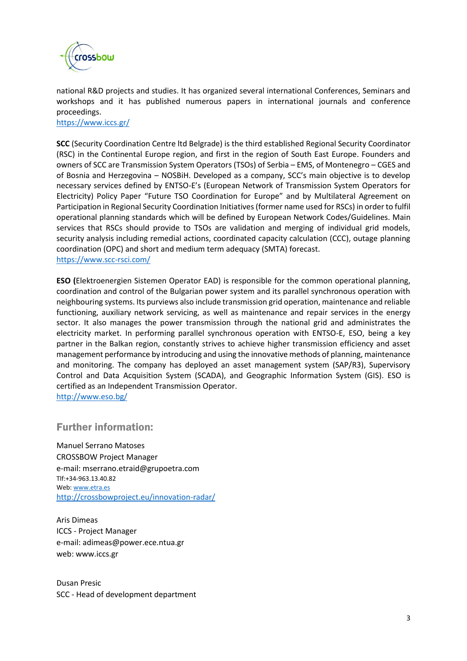

national R&D projects and studies. It has organized several international Conferences, Seminars and workshops and it has published numerous papers in international journals and conference proceedings.

<https://www.iccs.gr/>

**SCC** (Security Coordination Centre ltd Belgrade) is the third established Regional Security Coordinator (RSC) in the Continental Europe region, and first in the region of South East Europe. Founders and owners of SCC are Transmission System Operators (TSOs) of Serbia – EMS, of Montenegro – CGES and of Bosnia and Herzegovina – NOSBiH. Developed as a company, SCC's main objective is to develop necessary services defined by ENTSO-E's (European Network of Transmission System Operators for Electricity) Policy Paper "Future TSO Coordination for Europe" and by Multilateral Agreement on Participation in Regional Security Coordination Initiatives (former name used for RSCs) in order to fulfil operational planning standards which will be defined by European Network Codes/Guidelines. Main services that RSCs should provide to TSOs are validation and merging of individual grid models, security analysis including remedial actions, coordinated capacity calculation (CCC), outage planning coordination (OPC) and short and medium term adequacy (SMTA) forecast. <https://www.scc-rsci.com/>

**ESO (**Elektroenergien Sistemen Operator EAD) is responsible for the common operational planning, coordination and control of the Bulgarian power system and its parallel synchronous operation with neighbouring systems. Its purviews also include transmission grid operation, maintenance and reliable functioning, auxiliary network servicing, as well as maintenance and repair services in the energy sector. It also manages the power transmission through the national grid and administrates the electricity market. In performing parallel synchronous operation with ENTSO-E, ESO, being a key partner in the Balkan region, constantly strives to achieve higher transmission efficiency and asset management performance by introducing and using the innovative methods of planning, maintenance and monitoring. The company has deployed an asset management system (SAP/R3), Supervisory Control and Data Acquisition System (SCADA), and Geographic Information System (GIS). ESO is certified as an Independent Transmission Operator. <http://www.eso.bg/>

Further information:

Manuel Serrano Matoses CROSSBOW Project Manager e-mail: mserrano.etraid@grupoetra.com Tlf:+34-963.13.40.82 Web[: www.etra.es](about:blank) [http://crossbowproject.eu/innovation-radar/](about:blank)

Aris Dimeas ICCS - Project Manager e-mail: adimeas@power.ece.ntua.gr web: www.iccs.gr

Dusan Presic SCC - Head of development department